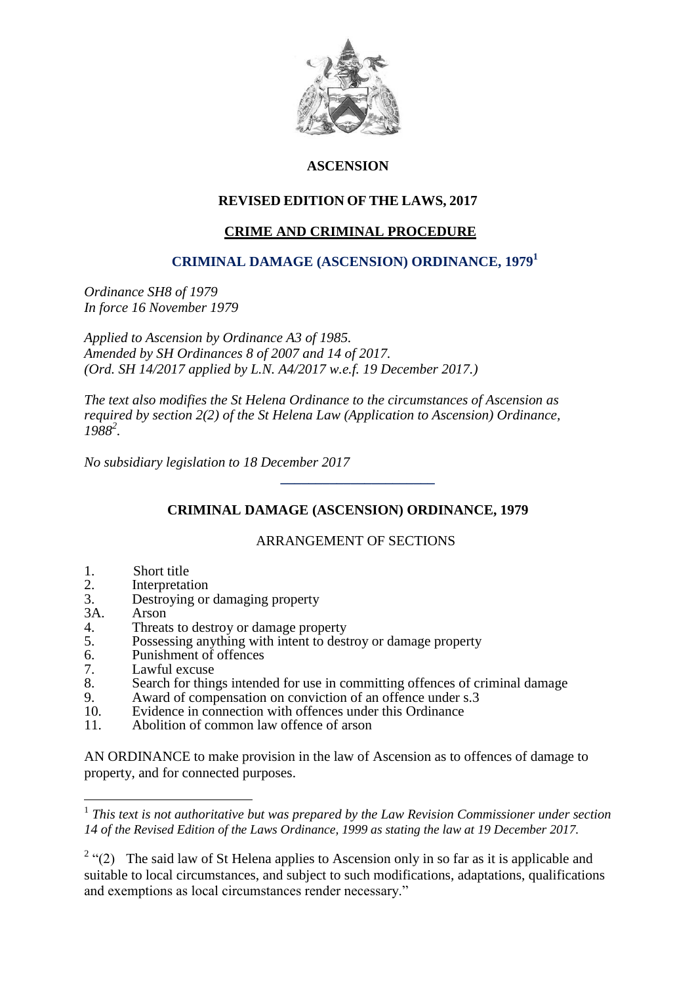

## **ASCENSION**

## **REVISED EDITION OF THE LAWS, 2017**

## **CRIME AND CRIMINAL PROCEDURE**

## **CRIMINAL DAMAGE (ASCENSION) ORDINANCE, 1979<sup>1</sup>**

*Ordinance SH8 of 1979 In force 16 November 1979*

*Applied to Ascension by Ordinance A3 of 1985. Amended by SH Ordinances 8 of 2007 and 14 of 2017. (Ord. SH 14/2017 applied by L.N. A4/2017 w.e.f. 19 December 2017.)*

*The text also modifies the St Helena Ordinance to the circumstances of Ascension as required by section 2(2) of the St Helena Law (Application to Ascension) Ordinance, 1988<sup>2</sup> .*

*No subsidiary legislation to 18 December 2017*

 **\_\_\_\_\_\_\_\_\_\_\_\_\_\_\_\_\_\_\_\_\_\_** 

# **CRIMINAL DAMAGE (ASCENSION) ORDINANCE, 1979**

### ARRANGEMENT OF SECTIONS

- 1. Short title<br>2. Interpretati
- **Interpretation**
- 3. Destroying or damaging property
- 3A. Arson<br>4. Threat

1

- Threats to destroy or damage property
- 5. Possessing anything with intent to destroy or damage property
- 6. Punishment of offences
- 7. Lawful excuse<br>8. Search for thin
- Search for things intended for use in committing offences of criminal damage
- 9. Award of compensation on conviction of an offence under s.3<br>10 Evidence in connection with offences under this Ordinance
- 10. Evidence in connection with offences under this Ordinance<br>11 Abolition of common law offence of arson
- Abolition of common law offence of arson

AN ORDINANCE to make provision in the law of Ascension as to offences of damage to property, and for connected purposes.

<sup>&</sup>lt;sup>1</sup> This text is not authoritative but was prepared by the Law Revision Commissioner under section *14 of the Revised Edition of the Laws Ordinance, 1999 as stating the law at 19 December 2017.*

<sup>&</sup>lt;sup>2</sup> "(2) The said law of St Helena applies to Ascension only in so far as it is applicable and suitable to local circumstances, and subject to such modifications, adaptations, qualifications and exemptions as local circumstances render necessary."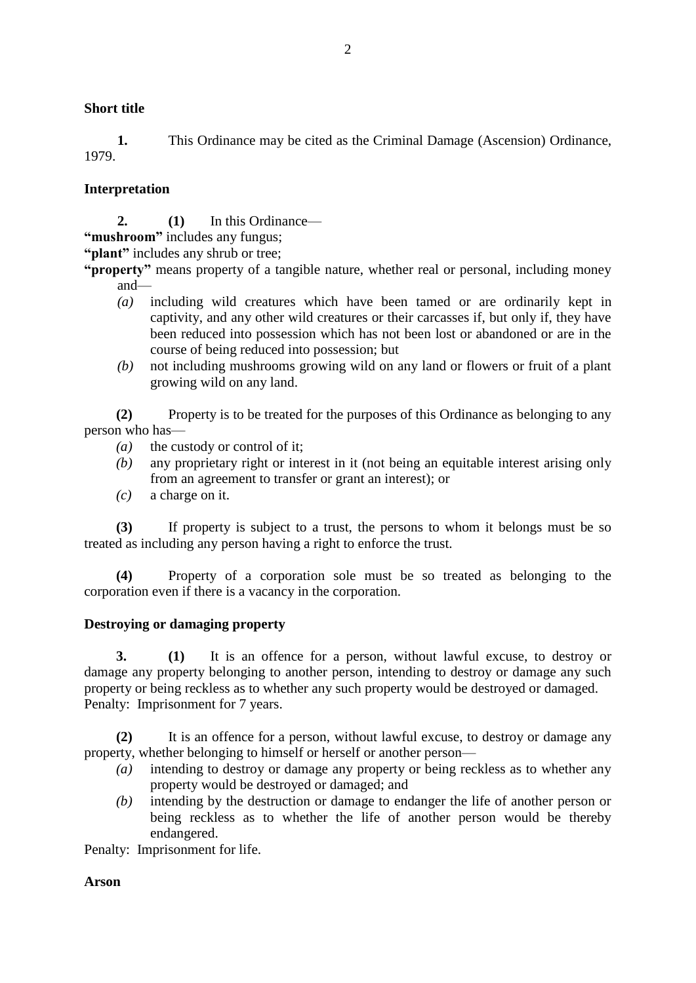#### **Short title**

**1.** This Ordinance may be cited as the Criminal Damage (Ascension) Ordinance, 1979.

#### **Interpretation**

**2. (1)** In this Ordinance—

**"mushroom"** includes any fungus;

**"plant"** includes any shrub or tree;

**"property"** means property of a tangible nature, whether real or personal, including money and—

- *(a)* including wild creatures which have been tamed or are ordinarily kept in captivity, and any other wild creatures or their carcasses if, but only if, they have been reduced into possession which has not been lost or abandoned or are in the course of being reduced into possession; but
- *(b)* not including mushrooms growing wild on any land or flowers or fruit of a plant growing wild on any land.

**(2)** Property is to be treated for the purposes of this Ordinance as belonging to any person who has—

- *(a)* the custody or control of it;
- *(b)* any proprietary right or interest in it (not being an equitable interest arising only from an agreement to transfer or grant an interest); or
- *(c)* a charge on it.

**(3)** If property is subject to a trust, the persons to whom it belongs must be so treated as including any person having a right to enforce the trust.

**(4)** Property of a corporation sole must be so treated as belonging to the corporation even if there is a vacancy in the corporation.

#### **Destroying or damaging property**

**3. (1)** It is an offence for a person, without lawful excuse, to destroy or damage any property belonging to another person, intending to destroy or damage any such property or being reckless as to whether any such property would be destroyed or damaged. Penalty: Imprisonment for 7 years.

**(2)** It is an offence for a person, without lawful excuse, to destroy or damage any property, whether belonging to himself or herself or another person—

- *(a)* intending to destroy or damage any property or being reckless as to whether any property would be destroyed or damaged; and
- *(b)* intending by the destruction or damage to endanger the life of another person or being reckless as to whether the life of another person would be thereby endangered.

Penalty: Imprisonment for life.

#### **Arson**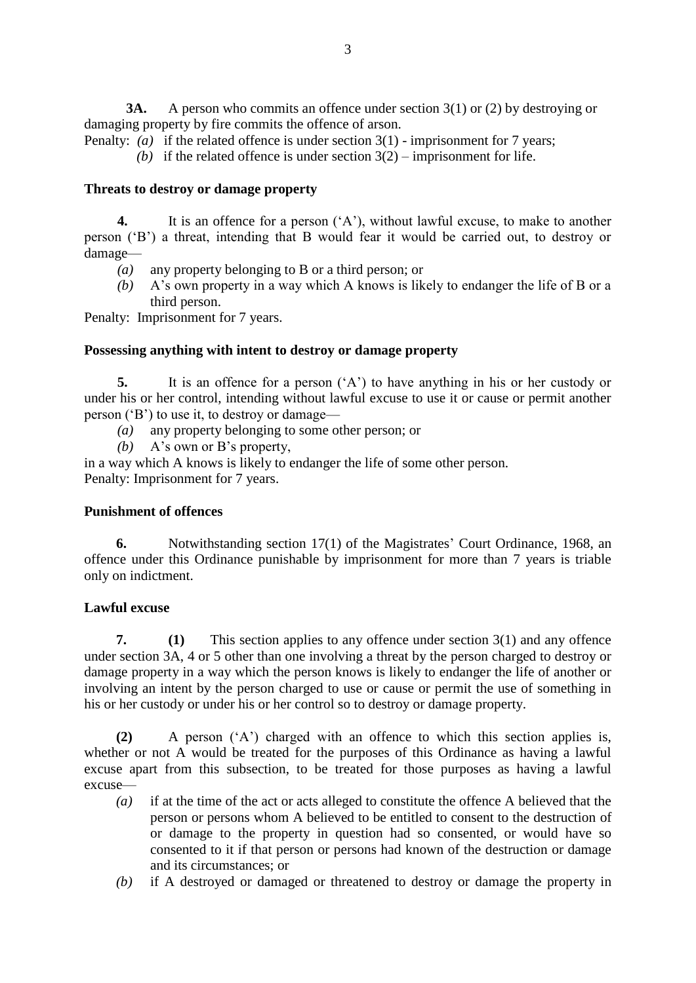**3A.** A person who commits an offence under section 3(1) or (2) by destroying or damaging property by fire commits the offence of arson.

- Penalty: *(a)* if the related offence is under section 3(1) imprisonment for 7 years;
	- (b) if the related offence is under section  $3(2)$  imprisonment for life.

#### **Threats to destroy or damage property**

**4.** It is an offence for a person ('A'), without lawful excuse, to make to another person ('B') a threat, intending that B would fear it would be carried out, to destroy or damage—

- *(a)* any property belonging to B or a third person; or
- *(b)* A's own property in a way which A knows is likely to endanger the life of B or a third person.

Penalty: Imprisonment for 7 years.

#### **Possessing anything with intent to destroy or damage property**

**5.** It is an offence for a person ('A') to have anything in his or her custody or under his or her control, intending without lawful excuse to use it or cause or permit another person ('B') to use it, to destroy or damage—

- *(a)* any property belonging to some other person; or
- *(b)* A's own or B's property,

in a way which A knows is likely to endanger the life of some other person. Penalty: Imprisonment for 7 years.

#### **Punishment of offences**

**6.** Notwithstanding section 17(1) of the Magistrates' Court Ordinance, 1968, an offence under this Ordinance punishable by imprisonment for more than 7 years is triable only on indictment.

### **Lawful excuse**

**7. (1)** This section applies to any offence under section 3(1) and any offence under section 3A, 4 or 5 other than one involving a threat by the person charged to destroy or damage property in a way which the person knows is likely to endanger the life of another or involving an intent by the person charged to use or cause or permit the use of something in his or her custody or under his or her control so to destroy or damage property.

**(2)** A person ('A') charged with an offence to which this section applies is, whether or not A would be treated for the purposes of this Ordinance as having a lawful excuse apart from this subsection, to be treated for those purposes as having a lawful excuse—

- *(a)* if at the time of the act or acts alleged to constitute the offence A believed that the person or persons whom A believed to be entitled to consent to the destruction of or damage to the property in question had so consented, or would have so consented to it if that person or persons had known of the destruction or damage and its circumstances; or
- *(b)* if A destroyed or damaged or threatened to destroy or damage the property in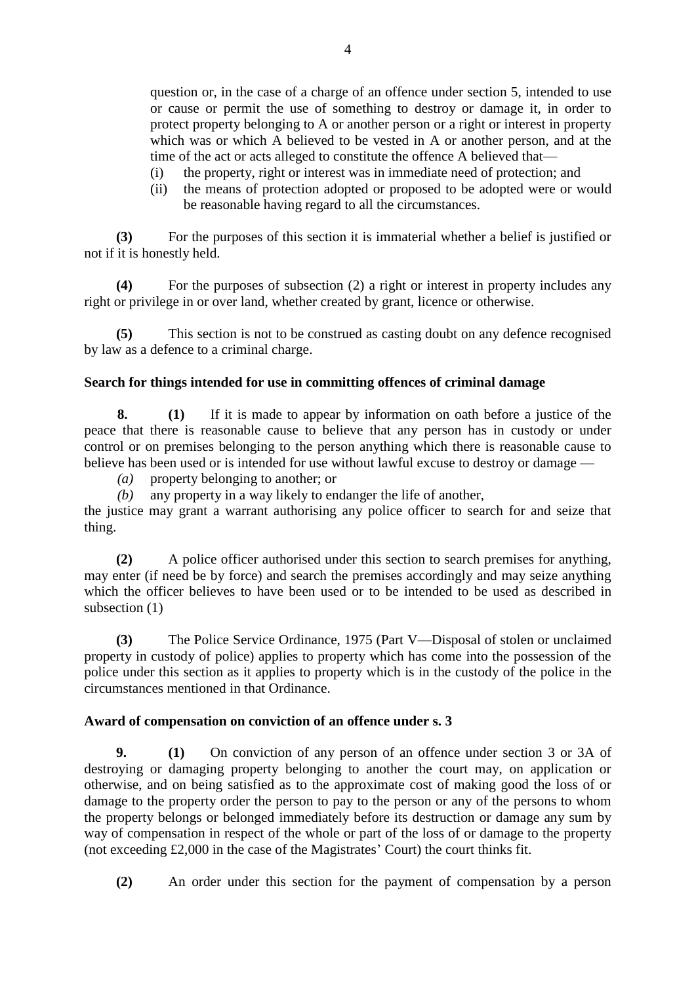question or, in the case of a charge of an offence under section 5, intended to use or cause or permit the use of something to destroy or damage it, in order to protect property belonging to A or another person or a right or interest in property which was or which A believed to be vested in A or another person, and at the time of the act or acts alleged to constitute the offence A believed that—

- (i) the property, right or interest was in immediate need of protection; and
- (ii) the means of protection adopted or proposed to be adopted were or would be reasonable having regard to all the circumstances.

**(3)** For the purposes of this section it is immaterial whether a belief is justified or not if it is honestly held.

**(4)** For the purposes of subsection (2) a right or interest in property includes any right or privilege in or over land, whether created by grant, licence or otherwise.

**(5)** This section is not to be construed as casting doubt on any defence recognised by law as a defence to a criminal charge.

### **Search for things intended for use in committing offences of criminal damage**

**8. (1)** If it is made to appear by information on oath before a justice of the peace that there is reasonable cause to believe that any person has in custody or under control or on premises belonging to the person anything which there is reasonable cause to believe has been used or is intended for use without lawful excuse to destroy or damage —

*(a)* property belonging to another; or

*(b)* any property in a way likely to endanger the life of another,

the justice may grant a warrant authorising any police officer to search for and seize that thing.

**(2)** A police officer authorised under this section to search premises for anything, may enter (if need be by force) and search the premises accordingly and may seize anything which the officer believes to have been used or to be intended to be used as described in subsection (1)

**(3)** The Police Service Ordinance, 1975 (Part V—Disposal of stolen or unclaimed property in custody of police) applies to property which has come into the possession of the police under this section as it applies to property which is in the custody of the police in the circumstances mentioned in that Ordinance.

### **Award of compensation on conviction of an offence under s. 3**

**9. (1)** On conviction of any person of an offence under section 3 or 3A of destroying or damaging property belonging to another the court may, on application or otherwise, and on being satisfied as to the approximate cost of making good the loss of or damage to the property order the person to pay to the person or any of the persons to whom the property belongs or belonged immediately before its destruction or damage any sum by way of compensation in respect of the whole or part of the loss of or damage to the property (not exceeding £2,000 in the case of the Magistrates' Court) the court thinks fit.

**(2)** An order under this section for the payment of compensation by a person